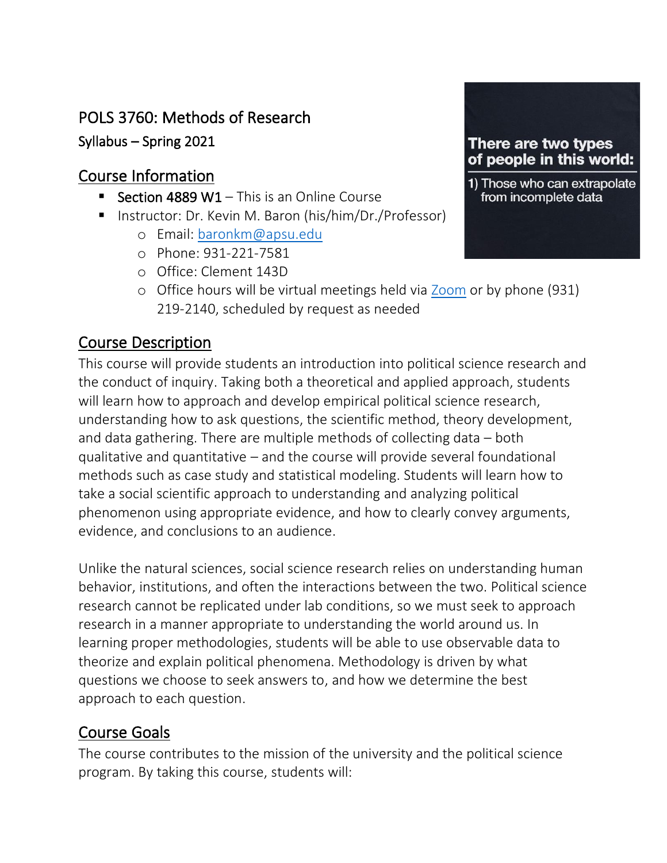## POLS 3760: Methods of Research

Syllabus – Spring 2021

### Course Information

- **E** Section 4889 W1 This is an Online Course
- Instructor: Dr. Kevin M. Baron (his/him/Dr./Professor)
	- o Email: [baronkm@apsu.edu](mailto:baronkm@apsu.edu)
	- o Phone: 931-221-7581
	- o Office: Clement 143D
	- o Office hours will be virtual meetings held via [Zoom](https://www.apsu.edu/online/technology/zoom.php) or by phone (931) 219-2140, scheduled by request as needed

## Course Description

This course will provide students an introduction into political science research and the conduct of inquiry. Taking both a theoretical and applied approach, students will learn how to approach and develop empirical political science research, understanding how to ask questions, the scientific method, theory development, and data gathering. There are multiple methods of collecting data – both qualitative and quantitative – and the course will provide several foundational methods such as case study and statistical modeling. Students will learn how to take a social scientific approach to understanding and analyzing political phenomenon using appropriate evidence, and how to clearly convey arguments, evidence, and conclusions to an audience.

Unlike the natural sciences, social science research relies on understanding human behavior, institutions, and often the interactions between the two. Political science research cannot be replicated under lab conditions, so we must seek to approach research in a manner appropriate to understanding the world around us. In learning proper methodologies, students will be able to use observable data to theorize and explain political phenomena. Methodology is driven by what questions we choose to seek answers to, and how we determine the best approach to each question.

## Course Goals

The course contributes to the mission of the university and the political science program. By taking this course, students will:

#### There are two types of people in this world:

1) Those who can extrapolate from incomplete data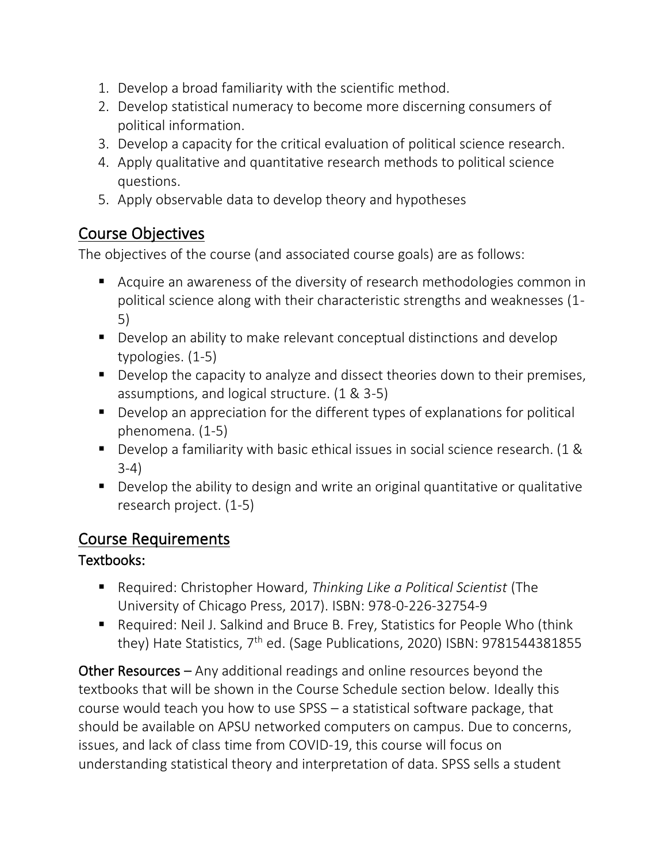- 1. Develop a broad familiarity with the scientific method.
- 2. Develop statistical numeracy to become more discerning consumers of political information.
- 3. Develop a capacity for the critical evaluation of political science research.
- 4. Apply qualitative and quantitative research methods to political science questions.
- 5. Apply observable data to develop theory and hypotheses

### Course Objectives

The objectives of the course (and associated course goals) are as follows:

- Acquire an awareness of the diversity of research methodologies common in political science along with their characteristic strengths and weaknesses (1- 5)
- Develop an ability to make relevant conceptual distinctions and develop typologies. (1-5)
- Develop the capacity to analyze and dissect theories down to their premises, assumptions, and logical structure. (1 & 3-5)
- Develop an appreciation for the different types of explanations for political phenomena. (1-5)
- Develop a familiarity with basic ethical issues in social science research. (1 & 3-4)
- Develop the ability to design and write an original quantitative or qualitative research project. (1-5)

#### Course Requirements

#### Textbooks:

- Required: Christopher Howard, *Thinking Like a Political Scientist* (The University of Chicago Press, 2017). ISBN: 978-0-226-32754-9
- Required: Neil J. Salkind and Bruce B. Frey, Statistics for People Who (think they) Hate Statistics, 7<sup>th</sup> ed. (Sage Publications, 2020) ISBN: 9781544381855

Other Resources – Any additional readings and online resources beyond the textbooks that will be shown in the Course Schedule section below. Ideally this course would teach you how to use SPSS – a statistical software package, that should be available on APSU networked computers on campus. Due to concerns, issues, and lack of class time from COVID-19, this course will focus on understanding statistical theory and interpretation of data. SPSS sells a student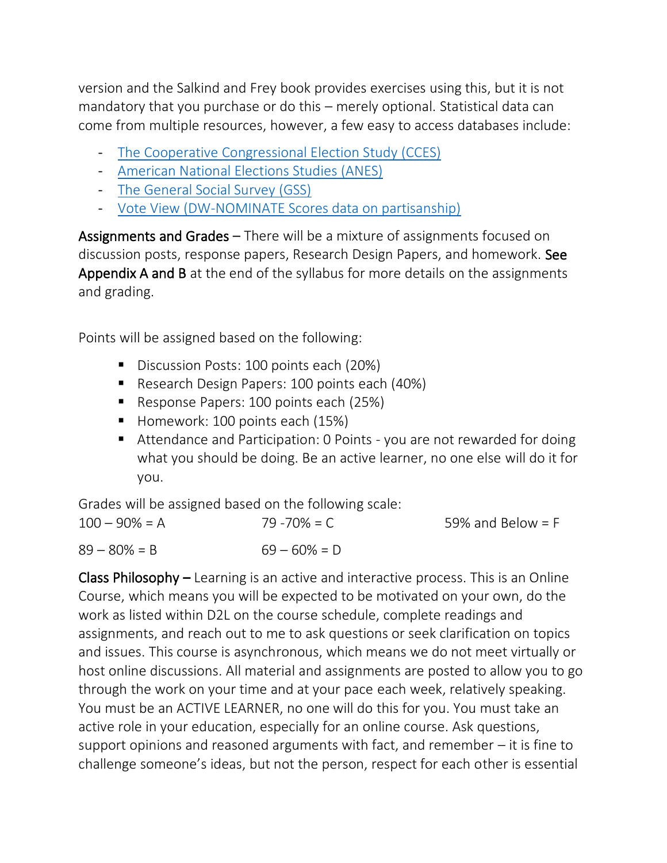version and the Salkind and Frey book provides exercises using this, but it is not mandatory that you purchase or do this – merely optional. Statistical data can come from multiple resources, however, a few easy to access databases include:

- [The Cooperative Congressional Election Study \(CCES\)](https://cces.gov.harvard.edu/pages/welcome-cooperative-congressional-election-study)
- [American National Elections Studies \(ANES\)](https://electionstudies.org/data-center/)
- [The General Social Survey \(GSS\)](http://gss.norc.org/)
- [Vote View \(DW-NOMINATE Scores data on partisanship\)](https://voteview.com/data)

Assignments and Grades – There will be a mixture of assignments focused on discussion posts, response papers, Research Design Papers, and homework. See Appendix A and B at the end of the syllabus for more details on the assignments and grading.

Points will be assigned based on the following:

- Discussion Posts: 100 points each (20%)
- Research Design Papers: 100 points each (40%)
- Response Papers: 100 points each (25%)
- Homework: 100 points each (15%)
- Attendance and Participation: 0 Points you are not rewarded for doing what you should be doing. Be an active learner, no one else will do it for you.

Grades will be assigned based on the following scale:

| $100 - 90\% = A$ | $79 - 70\% = C$ | 59% and Below = $F$ |
|------------------|-----------------|---------------------|
| 89 – 80% = B     | $69 - 60\% = D$ |                     |

Class Philosophy **–** Learning is an active and interactive process. This is an Online Course, which means you will be expected to be motivated on your own, do the work as listed within D2L on the course schedule, complete readings and assignments, and reach out to me to ask questions or seek clarification on topics and issues. This course is asynchronous, which means we do not meet virtually or host online discussions. All material and assignments are posted to allow you to go through the work on your time and at your pace each week, relatively speaking. You must be an ACTIVE LEARNER, no one will do this for you. You must take an active role in your education, especially for an online course. Ask questions, support opinions and reasoned arguments with fact, and remember – it is fine to challenge someone's ideas, but not the person, respect for each other is essential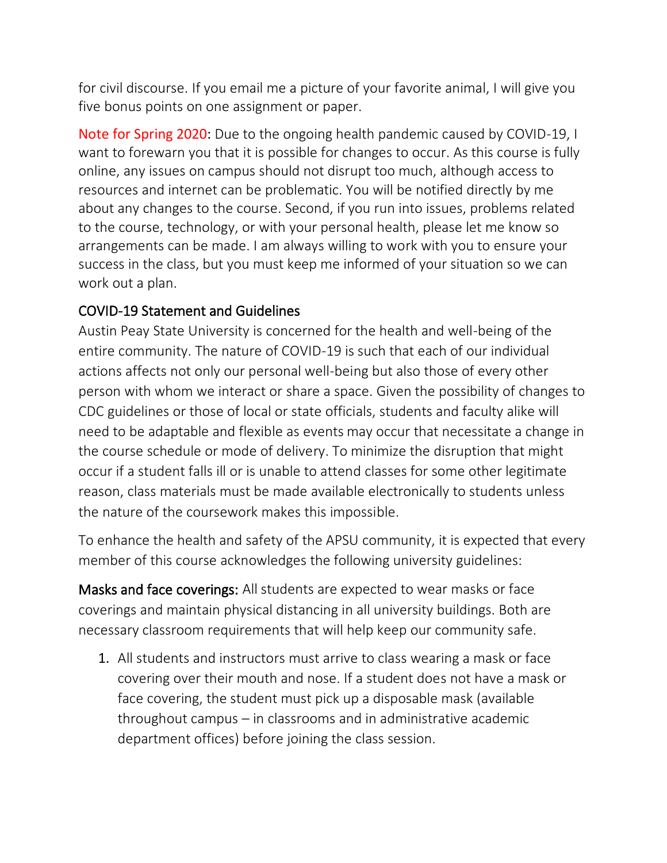for civil discourse. If you email me a picture of your favorite animal, I will give you five bonus points on one assignment or paper.

Note for Spring 2020: Due to the ongoing health pandemic caused by COVID-19, I want to forewarn you that it is possible for changes to occur. As this course is fully online, any issues on campus should not disrupt too much, although access to resources and internet can be problematic. You will be notified directly by me about any changes to the course. Second, if you run into issues, problems related to the course, technology, or with your personal health, please let me know so arrangements can be made. I am always willing to work with you to ensure your success in the class, but you must keep me informed of your situation so we can work out a plan.

#### COVID-19 Statement and Guidelines

Austin Peay State University is concerned for the health and well-being of the entire community. The nature of COVID-19 is such that each of our individual actions affects not only our personal well-being but also those of every other person with whom we interact or share a space. Given the possibility of changes to CDC guidelines or those of local or state officials, students and faculty alike will need to be adaptable and flexible as events may occur that necessitate a change in the course schedule or mode of delivery. To minimize the disruption that might occur if a student falls ill or is unable to attend classes for some other legitimate reason, class materials must be made available electronically to students unless the nature of the coursework makes this impossible.

To enhance the health and safety of the APSU community, it is expected that every member of this course acknowledges the following university guidelines:

Masks and face coverings: All students are expected to wear masks or face coverings and maintain physical distancing in all university buildings. Both are necessary classroom requirements that will help keep our community safe.

1. All students and instructors must arrive to class wearing a mask or face covering over their mouth and nose. If a student does not have a mask or face covering, the student must pick up a disposable mask (available throughout campus – in classrooms and in administrative academic department offices) before joining the class session.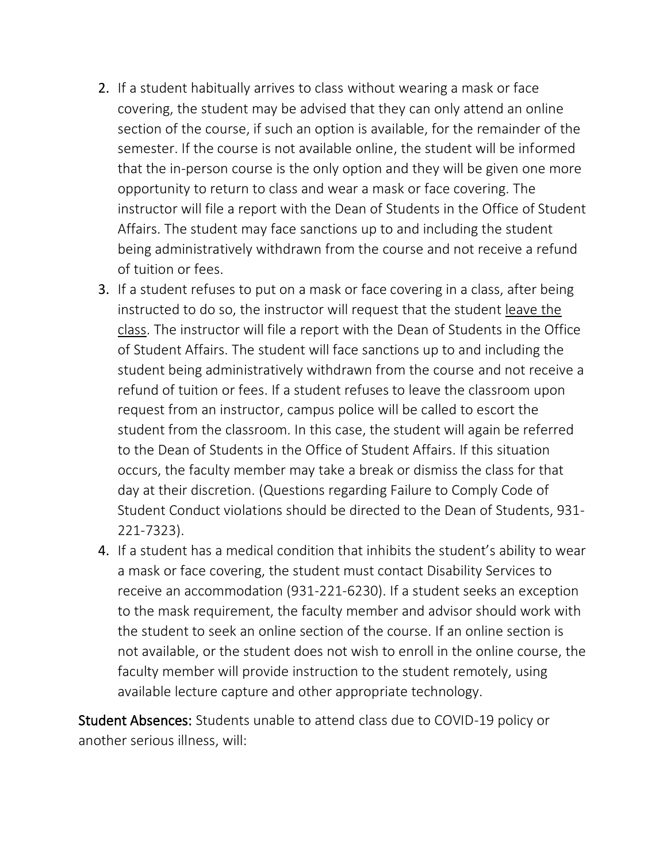- 2. If a student habitually arrives to class without wearing a mask or face covering, the student may be advised that they can only attend an online section of the course, if such an option is available, for the remainder of the semester. If the course is not available online, the student will be informed that the in-person course is the only option and they will be given one more opportunity to return to class and wear a mask or face covering. The instructor will file a report with the Dean of Students in the Office of Student Affairs. The student may face sanctions up to and including the student being administratively withdrawn from the course and not receive a refund of tuition or fees.
- 3. If a student refuses to put on a mask or face covering in a class, after being instructed to do so, the instructor will request that the student leave the class. The instructor will file a report with the Dean of Students in the Office of Student Affairs. The student will face sanctions up to and including the student being administratively withdrawn from the course and not receive a refund of tuition or fees. If a student refuses to leave the classroom upon request from an instructor, campus police will be called to escort the student from the classroom. In this case, the student will again be referred to the Dean of Students in the Office of Student Affairs. If this situation occurs, the faculty member may take a break or dismiss the class for that day at their discretion. (Questions regarding Failure to Comply Code of Student Conduct violations should be directed to the Dean of Students, 931- 221-7323).
- 4. If a student has a medical condition that inhibits the student's ability to wear a mask or face covering, the student must contact Disability Services to receive an accommodation (931-221-6230). If a student seeks an exception to the mask requirement, the faculty member and advisor should work with the student to seek an online section of the course. If an online section is not available, or the student does not wish to enroll in the online course, the faculty member will provide instruction to the student remotely, using available lecture capture and other appropriate technology.

Student Absences: Students unable to attend class due to COVID-19 policy or another serious illness, will: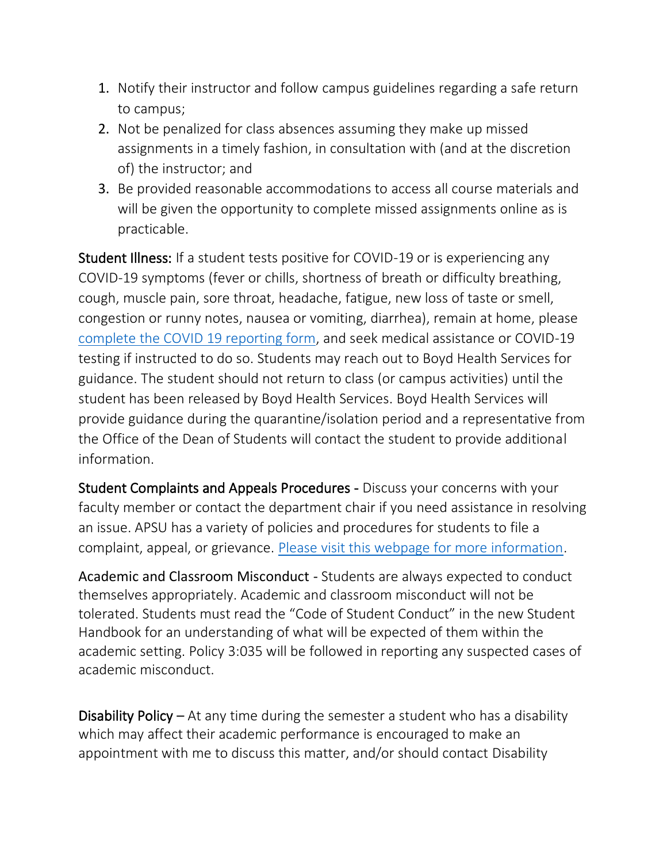- 1. Notify their instructor and follow campus guidelines regarding a safe return to campus;
- 2. Not be penalized for class absences assuming they make up missed assignments in a timely fashion, in consultation with (and at the discretion of) the instructor; and
- 3. Be provided reasonable accommodations to access all course materials and will be given the opportunity to complete missed assignments online as is practicable.

Student Illness: If a student tests positive for COVID-19 or is experiencing any COVID-19 symptoms (fever or chills, shortness of breath or difficulty breathing, cough, muscle pain, sore throat, headache, fatigue, new loss of taste or smell, congestion or runny notes, nausea or vomiting, diarrhea), remain at home, please [complete the COVID 19 reporting form,](https://cm.maxient.com/reportingform.php?AustinPeayStateUniv&layout_id=19) and seek medical assistance or COVID-19 testing if instructed to do so. Students may reach out to Boyd Health Services for guidance. The student should not return to class (or campus activities) until the student has been released by Boyd Health Services. Boyd Health Services will provide guidance during the quarantine/isolation period and a representative from the Office of the Dean of Students will contact the student to provide additional information.

Student Complaints and Appeals Procedures - Discuss your concerns with your faculty member or contact the department chair if you need assistance in resolving an issue. APSU has a variety of policies and procedures for students to file a complaint, appeal, or grievance. [Please visit this webpage for more information.](https://www.apsu.edu/student-affairs/dean-of-students/student-appeals-and-complaint-procedures/)

Academic and Classroom Misconduct - Students are always expected to conduct themselves appropriately. Academic and classroom misconduct will not be tolerated. Students must read the "Code of Student Conduct" in the new Student Handbook for an understanding of what will be expected of them within the academic setting. Policy 3:035 will be followed in reporting any suspected cases of academic misconduct.

**Disability Policy** – At any time during the semester a student who has a disability which may affect their academic performance is encouraged to make an appointment with me to discuss this matter, and/or should contact Disability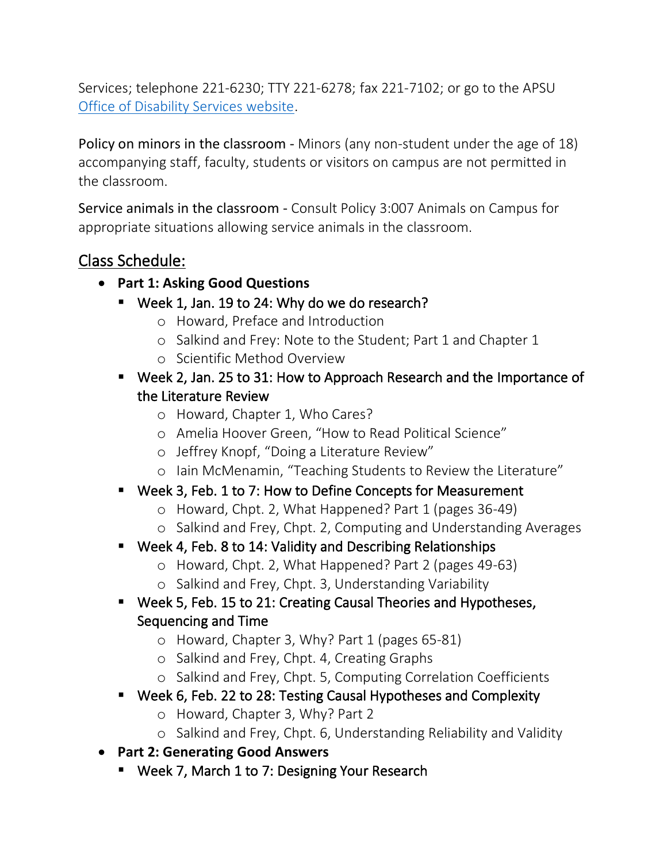Services; telephone 221-6230; TTY 221-6278; fax 221-7102; or go to the APSU [Office of Disability Services website.](http://www.apsu.edu/disability)

Policy on minors in the classroom - Minors (any non-student under the age of 18) accompanying staff, faculty, students or visitors on campus are not permitted in the classroom.

Service animals in the classroom - Consult Policy 3:007 Animals on Campus for appropriate situations allowing service animals in the classroom.

#### Class Schedule:

- **Part 1: Asking Good Questions**
	- Week 1, Jan. 19 to 24: Why do we do research?
		- o Howard, Preface and Introduction
		- o Salkind and Frey: Note to the Student; Part 1 and Chapter 1
		- o Scientific Method Overview
	- Week 2, Jan. 25 to 31: How to Approach Research and the Importance of the Literature Review
		- o Howard, Chapter 1, Who Cares?
		- o Amelia Hoover Green, "How to Read Political Science"
		- o Jeffrey Knopf, "Doing a Literature Review"
		- o Iain McMenamin, "Teaching Students to Review the Literature"
	- Week 3, Feb. 1 to 7: How to Define Concepts for Measurement
		- o Howard, Chpt. 2, What Happened? Part 1 (pages 36-49)
		- o Salkind and Frey, Chpt. 2, Computing and Understanding Averages
	- Week 4, Feb. 8 to 14: Validity and Describing Relationships
		- o Howard, Chpt. 2, What Happened? Part 2 (pages 49-63)
		- o Salkind and Frey, Chpt. 3, Understanding Variability
	- Week 5, Feb. 15 to 21: Creating Causal Theories and Hypotheses, Sequencing and Time
		- o Howard, Chapter 3, Why? Part 1 (pages 65-81)
		- o Salkind and Frey, Chpt. 4, Creating Graphs
		- o Salkind and Frey, Chpt. 5, Computing Correlation Coefficients
	- Week 6, Feb. 22 to 28: Testing Causal Hypotheses and Complexity
		- o Howard, Chapter 3, Why? Part 2
		- o Salkind and Frey, Chpt. 6, Understanding Reliability and Validity
- **Part 2: Generating Good Answers**
	- Week 7, March 1 to 7: Designing Your Research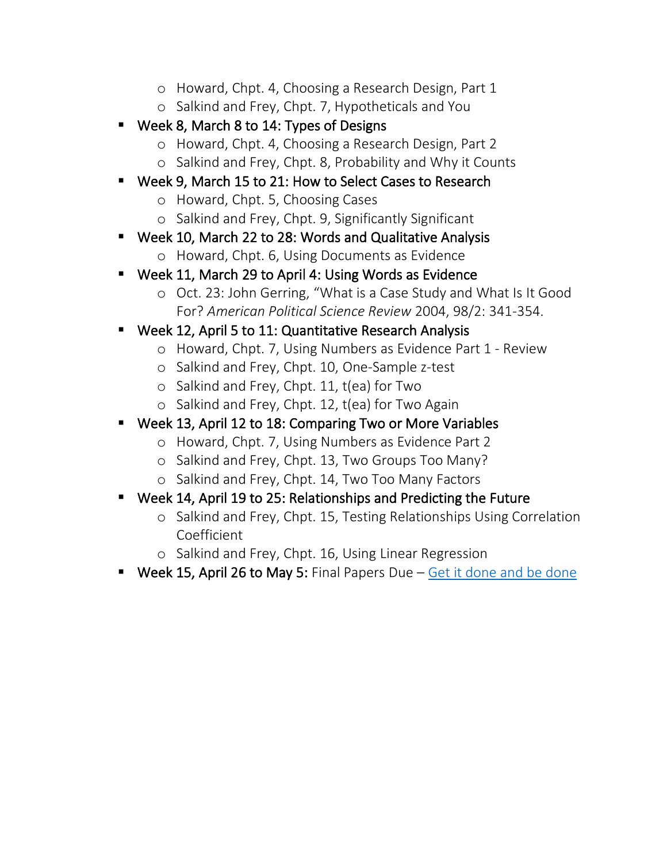- o Howard, Chpt. 4, Choosing a Research Design, Part 1
- o Salkind and Frey, Chpt. 7, Hypotheticals and You
- Week 8, March 8 to 14: Types of Designs
	- o Howard, Chpt. 4, Choosing a Research Design, Part 2
	- o Salkind and Frey, Chpt. 8, Probability and Why it Counts
- Week 9, March 15 to 21: How to Select Cases to Research
	- o Howard, Chpt. 5, Choosing Cases
	- o Salkind and Frey, Chpt. 9, Significantly Significant
- Week 10, March 22 to 28: Words and Qualitative Analysis
	- o Howard, Chpt. 6, Using Documents as Evidence
- Week 11, March 29 to April 4: Using Words as Evidence
	- o Oct. 23: John Gerring, "What is a Case Study and What Is It Good For? *American Political Science Review* 2004, 98/2: 341-354.
- Week 12, April 5 to 11: Quantitative Research Analysis
	- o Howard, Chpt. 7, Using Numbers as Evidence Part 1 Review
	- o Salkind and Frey, Chpt. 10, One-Sample z-test
	- o Salkind and Frey, Chpt. 11, t(ea) for Two
	- o Salkind and Frey, Chpt. 12, t(ea) for Two Again
- Week 13, April 12 to 18: Comparing Two or More Variables
	- o Howard, Chpt. 7, Using Numbers as Evidence Part 2
	- o Salkind and Frey, Chpt. 13, Two Groups Too Many?
	- o Salkind and Frey, Chpt. 14, Two Too Many Factors
- Week 14, April 19 to 25: Relationships and Predicting the Future
	- o Salkind and Frey, Chpt. 15, Testing Relationships Using Correlation Coefficient
	- o Salkind and Frey, Chpt. 16, Using Linear Regression
- **Week 15, April 26 to May 5:** Final Papers Due  $-$  [Get it done and be done](https://www.youtube.com/watch?v=ZXsQAXx_ao0)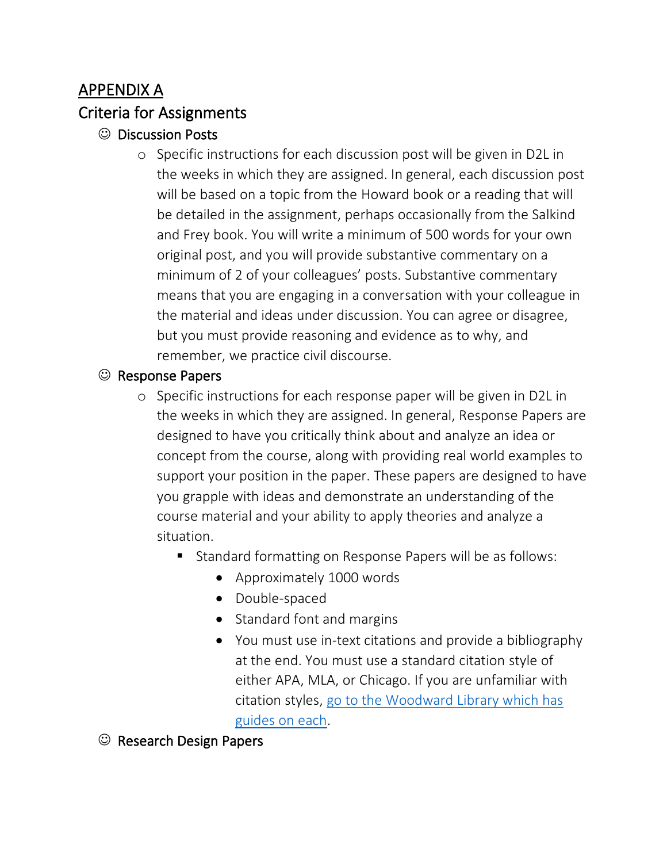# APPENDIX A Criteria for Assignments

- ☺ Discussion Posts
	- o Specific instructions for each discussion post will be given in D2L in the weeks in which they are assigned. In general, each discussion post will be based on a topic from the Howard book or a reading that will be detailed in the assignment, perhaps occasionally from the Salkind and Frey book. You will write a minimum of 500 words for your own original post, and you will provide substantive commentary on a minimum of 2 of your colleagues' posts. Substantive commentary means that you are engaging in a conversation with your colleague in the material and ideas under discussion. You can agree or disagree, but you must provide reasoning and evidence as to why, and remember, we practice civil discourse.

#### ☺ Response Papers

- o Specific instructions for each response paper will be given in D2L in the weeks in which they are assigned. In general, Response Papers are designed to have you critically think about and analyze an idea or concept from the course, along with providing real world examples to support your position in the paper. These papers are designed to have you grapple with ideas and demonstrate an understanding of the course material and your ability to apply theories and analyze a situation.
	- Standard formatting on Response Papers will be as follows:
		- Approximately 1000 words
		- Double-spaced
		- Standard font and margins
		- You must use in-text citations and provide a bibliography at the end. You must use a standard citation style of either APA, MLA, or Chicago. If you are unfamiliar with citation styles, go to the Woodward Library which has [guides on each.](https://library.apsu.edu/services/howto/citing_sources.html)
- ☺ Research Design Papers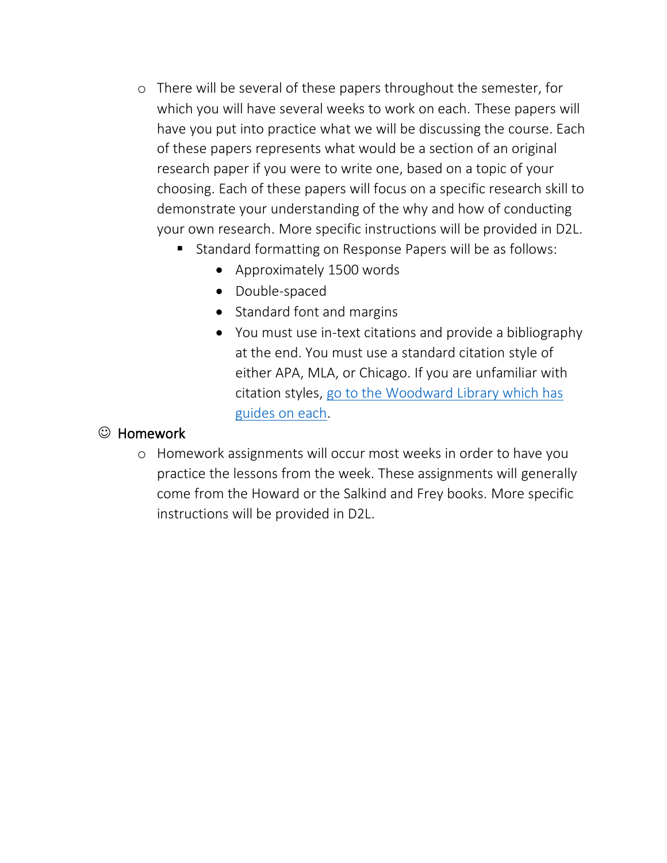- o There will be several of these papers throughout the semester, for which you will have several weeks to work on each. These papers will have you put into practice what we will be discussing the course. Each of these papers represents what would be a section of an original research paper if you were to write one, based on a topic of your choosing. Each of these papers will focus on a specific research skill to demonstrate your understanding of the why and how of conducting your own research. More specific instructions will be provided in D2L.
	- Standard formatting on Response Papers will be as follows:
		- Approximately 1500 words
		- Double-spaced
		- Standard font and margins
		- You must use in-text citations and provide a bibliography at the end. You must use a standard citation style of either APA, MLA, or Chicago. If you are unfamiliar with citation styles, [go to the Woodward Library which has](https://library.apsu.edu/services/howto/citing_sources.html)  [guides on each.](https://library.apsu.edu/services/howto/citing_sources.html)

#### ☺ Homework

o Homework assignments will occur most weeks in order to have you practice the lessons from the week. These assignments will generally come from the Howard or the Salkind and Frey books. More specific instructions will be provided in D2L.